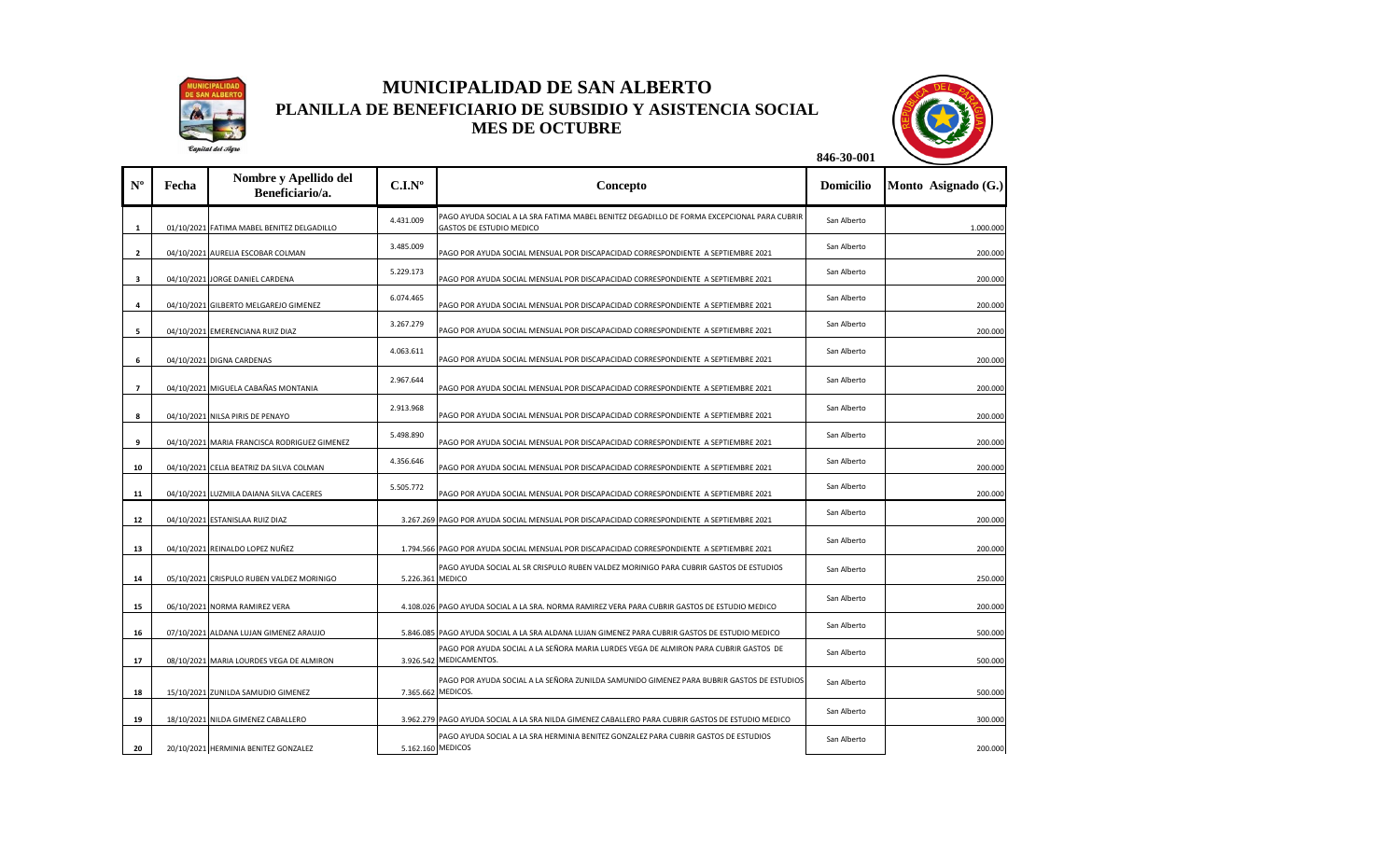

## **MUNICIPALIDAD DE SAN ALBERTO PLANILLA DE BENEFICIARIO DE SUBSIDIO Y ASISTENCIA SOCIAL MES DE OCTUBRE**



|                |       | Caputat del Mgro                             |                  |                                                                                                                                                                                          |                  |                     |
|----------------|-------|----------------------------------------------|------------------|------------------------------------------------------------------------------------------------------------------------------------------------------------------------------------------|------------------|---------------------|
| $N^{\rm o}$    | Fecha | Nombre y Apellido del<br>Beneficiario/a.     | $C.I.N^o$        | Concepto                                                                                                                                                                                 | <b>Domicilio</b> | Monto Asignado (G.) |
| $\mathbf{1}$   |       | 01/10/2021 FATIMA MABEL BENITEZ DELGADILLO   | 4.431.009        | PAGO AYUDA SOCIAL A LA SRA FATIMA MABEL BENITEZ DEGADILLO DE FORMA EXCEPCIONAL PARA CUBRIR<br><b>GASTOS DE ESTUDIO MEDICO</b>                                                            | San Alberto      | 1.000.000           |
| $\overline{2}$ |       | 04/10/2021 AURELIA ESCOBAR COLMAN            | 3.485.009        | PAGO POR AYUDA SOCIAL MENSUAL POR DISCAPACIDAD CORRESPONDIENTE A SEPTIEMBRE 2021                                                                                                         | San Alberto      | 200.000             |
| 3              |       | 04/10/2021 JORGE DANIEL CARDENA              | 5.229.173        | PAGO POR AYUDA SOCIAL MENSUAL POR DISCAPACIDAD CORRESPONDIENTE A SEPTIEMBRE 2021                                                                                                         | San Alberto      | 200.000             |
| 4              |       | 04/10/2021 GILBERTO MELGAREJO GIMENEZ        | 6.074.465        | PAGO POR AYUDA SOCIAL MENSUAL POR DISCAPACIDAD CORRESPONDIENTE A SEPTIEMBRE 2021                                                                                                         | San Alberto      | 200.000             |
| 5              |       | 04/10/2021 EMERENCIANA RUIZ DIAZ             | 3.267.279        | PAGO POR AYUDA SOCIAL MENSUAL POR DISCAPACIDAD CORRESPONDIENTE A SEPTIEMBRE 2021                                                                                                         | San Alberto      | 200.000             |
| 6              |       | 04/10/2021 DIGNA CARDENAS                    | 4.063.611        | PAGO POR AYUDA SOCIAL MENSUAL POR DISCAPACIDAD CORRESPONDIENTE A SEPTIEMBRE 2021                                                                                                         | San Alberto      | 200.000             |
| $\overline{7}$ |       | 04/10/2021 MIGUELA CABAÑAS MONTANIA          | 2.967.644        | PAGO POR AYUDA SOCIAL MENSUAL POR DISCAPACIDAD CORRESPONDIENTE A SEPTIEMBRE 2021                                                                                                         | San Alberto      | 200.000             |
| 8              |       | 04/10/2021 NILSA PIRIS DE PENAYO             | 2.913.968        | PAGO POR AYUDA SOCIAL MENSUAL POR DISCAPACIDAD CORRESPONDIENTE A SEPTIEMBRE 2021                                                                                                         | San Alberto      | 200.000             |
| 9              |       | 04/10/2021 MARIA FRANCISCA RODRIGUEZ GIMENEZ | 5.498.890        | PAGO POR AYUDA SOCIAL MENSUAL POR DISCAPACIDAD CORRESPONDIENTE A SEPTIEMBRE 2021                                                                                                         | San Alberto      | 200.000             |
| 10             |       | 04/10/2021 CELIA BEATRIZ DA SILVA COLMAN     | 4.356.646        | PAGO POR AYUDA SOCIAL MENSUAL POR DISCAPACIDAD CORRESPONDIENTE A SEPTIEMBRE 2021                                                                                                         | San Alberto      | 200.000             |
| 11             |       | 04/10/2021 LUZMILA DAIANA SILVA CACERES      | 5.505.772        | PAGO POR AYUDA SOCIAL MENSUAL POR DISCAPACIDAD CORRESPONDIENTE A SEPTIEMBRE 2021                                                                                                         | San Alberto      | 200.000             |
| 12             |       | 04/10/2021 ESTANISLAA RUIZ DIAZ              |                  | 3.267.269 PAGO POR AYUDA SOCIAL MENSUAL POR DISCAPACIDAD CORRESPONDIENTE A SEPTIEMBRE 2021                                                                                               | San Alberto      | 200.000             |
| 13             |       | 04/10/2021 REINALDO LOPEZ NUÑEZ              |                  | 1.794.566 PAGO POR AYUDA SOCIAL MENSUAL POR DISCAPACIDAD CORRESPONDIENTE A SEPTIEMBRE 2021                                                                                               | San Alberto      | 200.000             |
| 14             |       | 05/10/2021 CRISPULO RUBEN VALDEZ MORINIGO    | 5.226.361 MEDICO | PAGO AYUDA SOCIAL AL SR CRISPULO RUBEN VALDEZ MORINIGO PARA CUBRIR GASTOS DE ESTUDIOS                                                                                                    | San Alberto      | 250.000             |
| 15             |       | 06/10/2021 NORMA RAMIREZ VERA                |                  | 4.108.026 PAGO AYUDA SOCIAL A LA SRA. NORMA RAMIREZ VERA PARA CUBRIR GASTOS DE ESTUDIO MEDICO                                                                                            | San Alberto      | 200.000             |
| 16             |       | 07/10/2021 ALDANA LUJAN GIMENEZ ARAUJO       |                  | 5.846.085 PAGO AYUDA SOCIAL A LA SRA ALDANA LUJAN GIMENEZ PARA CUBRIR GASTOS DE ESTUDIO MEDICO                                                                                           | San Alberto      | 500.000             |
| 17             |       | 08/10/2021 MARIA LOURDES VEGA DE ALMIRON     |                  | PAGO POR AYUDA SOCIAL A LA SEÑORA MARIA LURDES VEGA DE ALMIRON PARA CUBRIR GASTOS DE<br>3.926.542 MEDICAMENTOS.                                                                          | San Alberto      | 500.000             |
|                |       |                                              |                  | PAGO POR AYUDA SOCIAL A LA SEÑORA ZUNILDA SAMUNIDO GIMENEZ PARA BUBRIR GASTOS DE ESTUDIOS                                                                                                | San Alberto      |                     |
| 18             |       | 15/10/2021 ZUNILDA SAMUDIO GIMENEZ           |                  | 7.365.662 MEDICOS.                                                                                                                                                                       | San Alberto      | 500.000             |
| 19             |       | 18/10/2021 NILDA GIMENEZ CABALLERO           |                  | 3.962.279 PAGO AYUDA SOCIAL A LA SRA NILDA GIMENEZ CABALLERO PARA CUBRIR GASTOS DE ESTUDIO MEDICO<br>PAGO AYUDA SOCIAL A LA SRA HERMINIA BENITEZ GONZALEZ PARA CUBRIR GASTOS DE ESTUDIOS |                  | 300.000             |
| 20             |       | 20/10/2021 HERMINIA BENITEZ GONZALEZ         |                  | 5.162.160 MEDICOS                                                                                                                                                                        | San Alberto      | 200.000             |